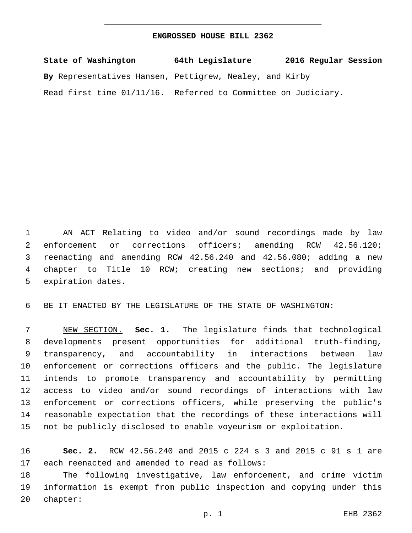## **ENGROSSED HOUSE BILL 2362**

| State of Washington                                           | 64th Legislature | 2016 Regular Session |
|---------------------------------------------------------------|------------------|----------------------|
| By Representatives Hansen, Pettigrew, Nealey, and Kirby       |                  |                      |
| Read first time 01/11/16. Referred to Committee on Judiciary. |                  |                      |

 AN ACT Relating to video and/or sound recordings made by law 2 enforcement or corrections officers; amending RCW 42.56.120; reenacting and amending RCW 42.56.240 and 42.56.080; adding a new chapter to Title 10 RCW; creating new sections; and providing 5 expiration dates.

BE IT ENACTED BY THE LEGISLATURE OF THE STATE OF WASHINGTON:

 NEW SECTION. **Sec. 1.** The legislature finds that technological developments present opportunities for additional truth-finding, transparency, and accountability in interactions between law enforcement or corrections officers and the public. The legislature intends to promote transparency and accountability by permitting access to video and/or sound recordings of interactions with law enforcement or corrections officers, while preserving the public's reasonable expectation that the recordings of these interactions will not be publicly disclosed to enable voyeurism or exploitation.

 **Sec. 2.** RCW 42.56.240 and 2015 c 224 s 3 and 2015 c 91 s 1 are 17 each reenacted and amended to read as follows:

 The following investigative, law enforcement, and crime victim information is exempt from public inspection and copying under this 20 chapter: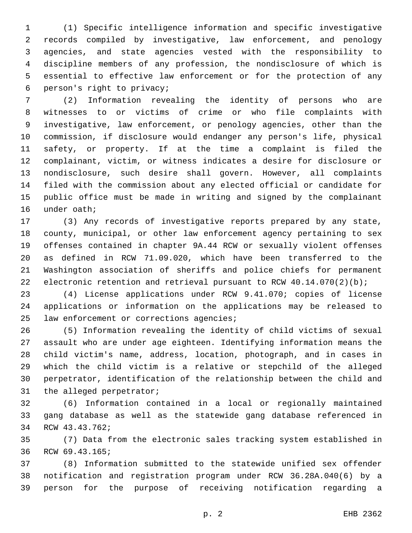(1) Specific intelligence information and specific investigative records compiled by investigative, law enforcement, and penology agencies, and state agencies vested with the responsibility to discipline members of any profession, the nondisclosure of which is essential to effective law enforcement or for the protection of any person's right to privacy;6

 (2) Information revealing the identity of persons who are witnesses to or victims of crime or who file complaints with investigative, law enforcement, or penology agencies, other than the commission, if disclosure would endanger any person's life, physical safety, or property. If at the time a complaint is filed the complainant, victim, or witness indicates a desire for disclosure or nondisclosure, such desire shall govern. However, all complaints filed with the commission about any elected official or candidate for public office must be made in writing and signed by the complainant 16 under oath;

 (3) Any records of investigative reports prepared by any state, county, municipal, or other law enforcement agency pertaining to sex offenses contained in chapter 9A.44 RCW or sexually violent offenses as defined in RCW 71.09.020, which have been transferred to the Washington association of sheriffs and police chiefs for permanent 22 electronic retention and retrieval pursuant to RCW  $40.14.070(2)(b)$ ;

 (4) License applications under RCW 9.41.070; copies of license applications or information on the applications may be released to 25 law enforcement or corrections agencies;

 (5) Information revealing the identity of child victims of sexual assault who are under age eighteen. Identifying information means the child victim's name, address, location, photograph, and in cases in which the child victim is a relative or stepchild of the alleged perpetrator, identification of the relationship between the child and 31 the alleged perpetrator;

 (6) Information contained in a local or regionally maintained gang database as well as the statewide gang database referenced in 34 RCW 43.43.762;

 (7) Data from the electronic sales tracking system established in 36 RCW 69.43.165;

 (8) Information submitted to the statewide unified sex offender notification and registration program under RCW 36.28A.040(6) by a person for the purpose of receiving notification regarding a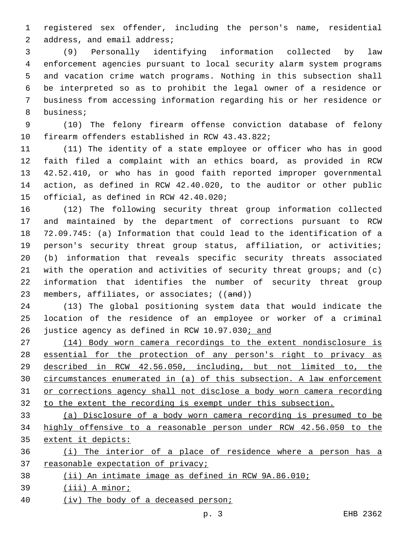registered sex offender, including the person's name, residential 2 address, and email address;

 (9) Personally identifying information collected by law enforcement agencies pursuant to local security alarm system programs and vacation crime watch programs. Nothing in this subsection shall be interpreted so as to prohibit the legal owner of a residence or business from accessing information regarding his or her residence or 8 business;

 (10) The felony firearm offense conviction database of felony 10 firearm offenders established in RCW 43.43.822;

 (11) The identity of a state employee or officer who has in good faith filed a complaint with an ethics board, as provided in RCW 42.52.410, or who has in good faith reported improper governmental action, as defined in RCW 42.40.020, to the auditor or other public 15 official, as defined in RCW 42.40.020;

 (12) The following security threat group information collected and maintained by the department of corrections pursuant to RCW 72.09.745: (a) Information that could lead to the identification of a person's security threat group status, affiliation, or activities; (b) information that reveals specific security threats associated with the operation and activities of security threat groups; and (c) information that identifies the number of security threat group 23 members, affiliates, or associates; ((and))

 (13) The global positioning system data that would indicate the location of the residence of an employee or worker of a criminal justice agency as defined in RCW 10.97.030; and

 (14) Body worn camera recordings to the extent nondisclosure is 28 essential for the protection of any person's right to privacy as described in RCW 42.56.050, including, but not limited to, the circumstances enumerated in (a) of this subsection. A law enforcement or corrections agency shall not disclose a body worn camera recording to the extent the recording is exempt under this subsection.

 (a) Disclosure of a body worn camera recording is presumed to be highly offensive to a reasonable person under RCW 42.56.050 to the extent it depicts:

 (i) The interior of a place of residence where a person has a 37 reasonable expectation of privacy;

(ii) An intimate image as defined in RCW 9A.86.010;

(iii) A minor;

(iv) The body of a deceased person;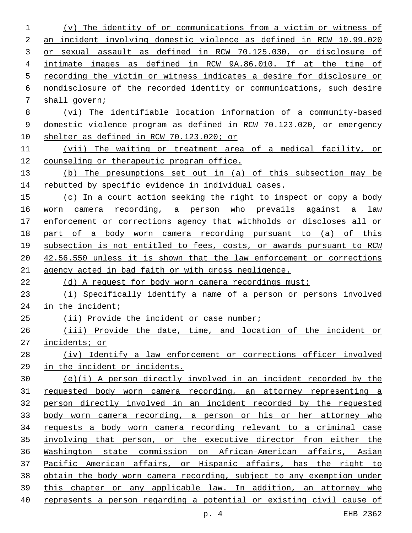| 1  | The identity of or communications from a victim or witness of<br>(v)  |
|----|-----------------------------------------------------------------------|
| 2  | an incident involving domestic violence as defined in RCW 10.99.020   |
| 3  | or sexual assault as defined in RCW 70.125.030, or disclosure of      |
| 4  | intimate images as defined in RCW 9A.86.010. If at the time of        |
| 5  | recording the victim or witness indicates a desire for disclosure or  |
| 6  | nondisclosure of the recorded identity or communications, such desire |
| 7  | shall govern;                                                         |
| 8  | (vi) The identifiable location information of a community-based       |
| 9  | domestic violence program as defined in RCW 70.123.020, or emergency  |
| 10 | shelter as defined in RCW 70.123.020; or                              |
| 11 | (vii) The waiting or treatment area of a medical facility, or         |
| 12 | counseling or therapeutic program office.                             |
| 13 | (b) The presumptions set out in (a) of this subsection may be         |
| 14 | rebutted by specific evidence in individual cases.                    |
| 15 | (c) In a court action seeking the right to inspect or copy a body     |
| 16 | worn camera recording, a person who prevails against a<br>law         |
| 17 | enforcement or corrections agency that withholds or discloses all or  |
| 18 | part of a body worn camera recording pursuant to (a) of this          |
| 19 | subsection is not entitled to fees, costs, or awards pursuant to RCW  |
| 20 | 42.56.550 unless it is shown that the law enforcement or corrections  |
| 21 | agency acted in bad faith or with gross negligence.                   |
| 22 | (d) A request for body worn camera recordings must:                   |
| 23 | (i) Specifically identify a name of a person or persons involved      |
| 24 | in the incident;                                                      |
| 25 | (ii) Provide the incident or case number;                             |
| 26 | (iii) Provide the date, time, and location of the incident or         |
| 27 | incidents; or                                                         |
| 28 | (iv) Identify a law enforcement or corrections officer involved       |
| 29 | in the incident or incidents.                                         |
| 30 | (e)(i) A person directly involved in an incident recorded by the      |
| 31 | requested body worn camera recording, an attorney representing a      |
| 32 | person directly involved in an incident recorded by the requested     |
| 33 | body worn camera recording, a person or his or her attorney who       |
| 34 | requests a body worn camera recording relevant to a criminal case     |
| 35 | involving that person, or the executive director from either the      |
| 36 | Washington state commission on African-American affairs, Asian        |
| 37 | Pacific American affairs, or Hispanic affairs, has the right to       |
| 38 | obtain the body worn camera recording, subject to any exemption under |
| 39 | this chapter or any applicable law. In addition, an attorney who      |
| 40 | represents a person regarding a potential or existing civil cause of  |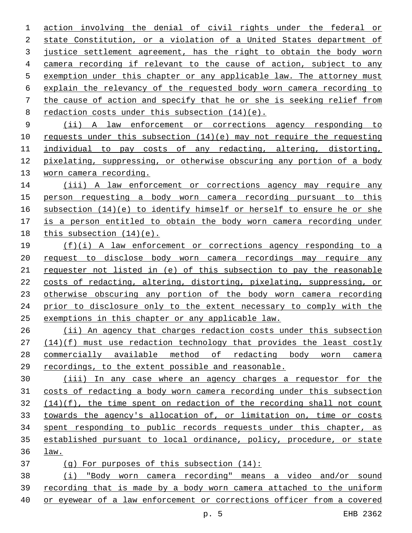action involving the denial of civil rights under the federal or state Constitution, or a violation of a United States department of justice settlement agreement, has the right to obtain the body worn camera recording if relevant to the cause of action, subject to any exemption under this chapter or any applicable law. The attorney must explain the relevancy of the requested body worn camera recording to the cause of action and specify that he or she is seeking relief from 8 redaction costs under this subsection  $(14)(e)$ .

 (ii) A law enforcement or corrections agency responding to requests under this subsection (14)(e) may not require the requesting individual to pay costs of any redacting, altering, distorting, pixelating, suppressing, or otherwise obscuring any portion of a body 13 worn camera recording.

 (iii) A law enforcement or corrections agency may require any person requesting a body worn camera recording pursuant to this subsection (14)(e) to identify himself or herself to ensure he or she is a person entitled to obtain the body worn camera recording under 18 this subsection  $(14)(e)$ .

 (f)(i) A law enforcement or corrections agency responding to a request to disclose body worn camera recordings may require any requester not listed in (e) of this subsection to pay the reasonable costs of redacting, altering, distorting, pixelating, suppressing, or otherwise obscuring any portion of the body worn camera recording prior to disclosure only to the extent necessary to comply with the 25 exemptions in this chapter or any applicable law.

 (ii) An agency that charges redaction costs under this subsection (14)(f) must use redaction technology that provides the least costly commercially available method of redacting body worn camera recordings, to the extent possible and reasonable.

 (iii) In any case where an agency charges a requestor for the costs of redacting a body worn camera recording under this subsection (14)(f), the time spent on redaction of the recording shall not count towards the agency's allocation of, or limitation on, time or costs spent responding to public records requests under this chapter, as established pursuant to local ordinance, policy, procedure, or state law.

(g) For purposes of this subsection (14):

 (i) "Body worn camera recording" means a video and/or sound recording that is made by a body worn camera attached to the uniform or eyewear of a law enforcement or corrections officer from a covered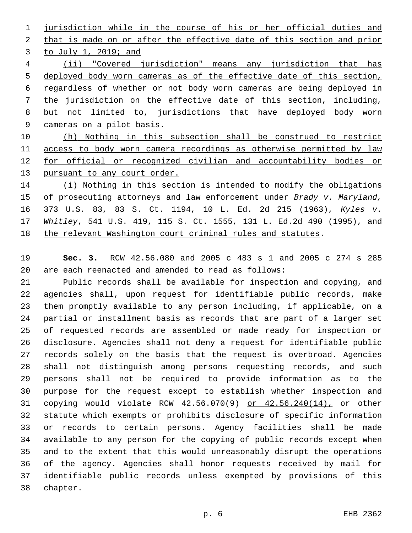jurisdiction while in the course of his or her official duties and that is made on or after the effective date of this section and prior 3 to July 1, 2019; and (ii) "Covered jurisdiction" means any jurisdiction that has deployed body worn cameras as of the effective date of this section, regardless of whether or not body worn cameras are being deployed in the jurisdiction on the effective date of this section, including, but not limited to, jurisdictions that have deployed body worn cameras on a pilot basis.

 (h) Nothing in this subsection shall be construed to restrict access to body worn camera recordings as otherwise permitted by law 12 for official or recognized civilian and accountability bodies or 13 pursuant to any court order.

 (i) Nothing in this section is intended to modify the obligations of prosecuting attorneys and law enforcement under *Brady v. Maryland,* 373 U.S. 83, 83 S. Ct. 1194, 10 L. Ed. 2d 215 (1963), *Kyles v. Whitley*, 541 U.S. 419, 115 S. Ct. 1555, 131 L. Ed.2d 490 (1995), and the relevant Washington court criminal rules and statutes.

 **Sec. 3.** RCW 42.56.080 and 2005 c 483 s 1 and 2005 c 274 s 285 are each reenacted and amended to read as follows:

 Public records shall be available for inspection and copying, and agencies shall, upon request for identifiable public records, make them promptly available to any person including, if applicable, on a partial or installment basis as records that are part of a larger set of requested records are assembled or made ready for inspection or disclosure. Agencies shall not deny a request for identifiable public records solely on the basis that the request is overbroad. Agencies shall not distinguish among persons requesting records, and such persons shall not be required to provide information as to the purpose for the request except to establish whether inspection and copying would violate RCW 42.56.070(9) or 42.56.240(14), or other statute which exempts or prohibits disclosure of specific information or records to certain persons. Agency facilities shall be made available to any person for the copying of public records except when and to the extent that this would unreasonably disrupt the operations of the agency. Agencies shall honor requests received by mail for identifiable public records unless exempted by provisions of this 38 chapter.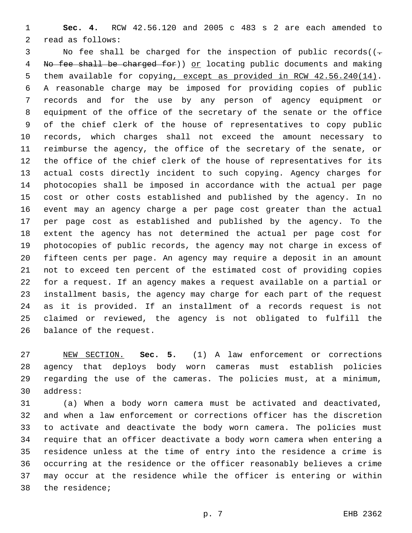**Sec. 4.** RCW 42.56.120 and 2005 c 483 s 2 are each amended to 2 read as follows:

3 No fee shall be charged for the inspection of public records((-4 No fee shall be charged for) or locating public documents and making 5 them available for copying, except as provided in RCW 42.56.240(14). A reasonable charge may be imposed for providing copies of public records and for the use by any person of agency equipment or equipment of the office of the secretary of the senate or the office of the chief clerk of the house of representatives to copy public records, which charges shall not exceed the amount necessary to reimburse the agency, the office of the secretary of the senate, or the office of the chief clerk of the house of representatives for its actual costs directly incident to such copying. Agency charges for photocopies shall be imposed in accordance with the actual per page cost or other costs established and published by the agency. In no event may an agency charge a per page cost greater than the actual per page cost as established and published by the agency. To the extent the agency has not determined the actual per page cost for photocopies of public records, the agency may not charge in excess of fifteen cents per page. An agency may require a deposit in an amount not to exceed ten percent of the estimated cost of providing copies for a request. If an agency makes a request available on a partial or installment basis, the agency may charge for each part of the request as it is provided. If an installment of a records request is not claimed or reviewed, the agency is not obligated to fulfill the 26 balance of the request.

 NEW SECTION. **Sec. 5.** (1) A law enforcement or corrections agency that deploys body worn cameras must establish policies regarding the use of the cameras. The policies must, at a minimum, address:

 (a) When a body worn camera must be activated and deactivated, and when a law enforcement or corrections officer has the discretion to activate and deactivate the body worn camera. The policies must require that an officer deactivate a body worn camera when entering a residence unless at the time of entry into the residence a crime is occurring at the residence or the officer reasonably believes a crime may occur at the residence while the officer is entering or within 38 the residence;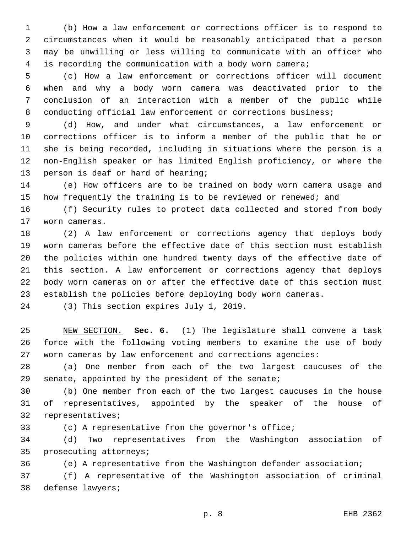(b) How a law enforcement or corrections officer is to respond to circumstances when it would be reasonably anticipated that a person may be unwilling or less willing to communicate with an officer who is recording the communication with a body worn camera;

 (c) How a law enforcement or corrections officer will document when and why a body worn camera was deactivated prior to the conclusion of an interaction with a member of the public while conducting official law enforcement or corrections business;

 (d) How, and under what circumstances, a law enforcement or corrections officer is to inform a member of the public that he or she is being recorded, including in situations where the person is a non-English speaker or has limited English proficiency, or where the 13 person is deaf or hard of hearing;

 (e) How officers are to be trained on body worn camera usage and 15 how frequently the training is to be reviewed or renewed; and

 (f) Security rules to protect data collected and stored from body 17 worn cameras.

 (2) A law enforcement or corrections agency that deploys body worn cameras before the effective date of this section must establish the policies within one hundred twenty days of the effective date of this section. A law enforcement or corrections agency that deploys body worn cameras on or after the effective date of this section must establish the policies before deploying body worn cameras.

24 (3) This section expires July 1, 2019.

 NEW SECTION. **Sec. 6.** (1) The legislature shall convene a task force with the following voting members to examine the use of body worn cameras by law enforcement and corrections agencies:

 (a) One member from each of the two largest caucuses of the 29 senate, appointed by the president of the senate;

 (b) One member from each of the two largest caucuses in the house of representatives, appointed by the speaker of the house of 32 representatives;

(c) A representative from the governor's office;

 (d) Two representatives from the Washington association of 35 prosecuting attorneys;

(e) A representative from the Washington defender association;

 (f) A representative of the Washington association of criminal 38 defense lawyers;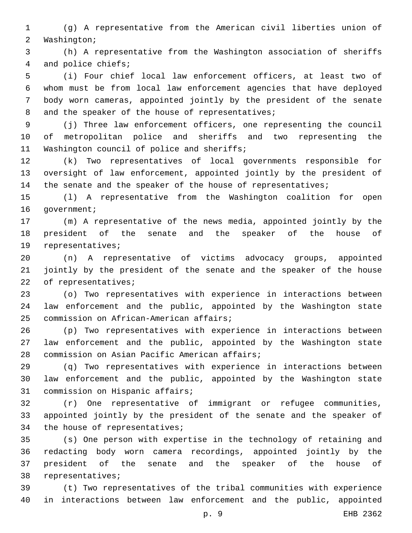(g) A representative from the American civil liberties union of 2 Washington;

 (h) A representative from the Washington association of sheriffs 4 and police chiefs;

 (i) Four chief local law enforcement officers, at least two of whom must be from local law enforcement agencies that have deployed body worn cameras, appointed jointly by the president of the senate 8 and the speaker of the house of representatives;

 (j) Three law enforcement officers, one representing the council of metropolitan police and sheriffs and two representing the 11 Washington council of police and sheriffs;

 (k) Two representatives of local governments responsible for oversight of law enforcement, appointed jointly by the president of 14 the senate and the speaker of the house of representatives;

 (l) A representative from the Washington coalition for open 16 qovernment;

 (m) A representative of the news media, appointed jointly by the president of the senate and the speaker of the house of 19 representatives;

 (n) A representative of victims advocacy groups, appointed jointly by the president of the senate and the speaker of the house 22 of representatives;

 (o) Two representatives with experience in interactions between law enforcement and the public, appointed by the Washington state 25 commission on African-American affairs;

 (p) Two representatives with experience in interactions between law enforcement and the public, appointed by the Washington state 28 commission on Asian Pacific American affairs;

 (q) Two representatives with experience in interactions between law enforcement and the public, appointed by the Washington state 31 commission on Hispanic affairs;

 (r) One representative of immigrant or refugee communities, appointed jointly by the president of the senate and the speaker of 34 the house of representatives;

 (s) One person with expertise in the technology of retaining and redacting body worn camera recordings, appointed jointly by the president of the senate and the speaker of the house of 38 representatives;

 (t) Two representatives of the tribal communities with experience in interactions between law enforcement and the public, appointed

p. 9 EHB 2362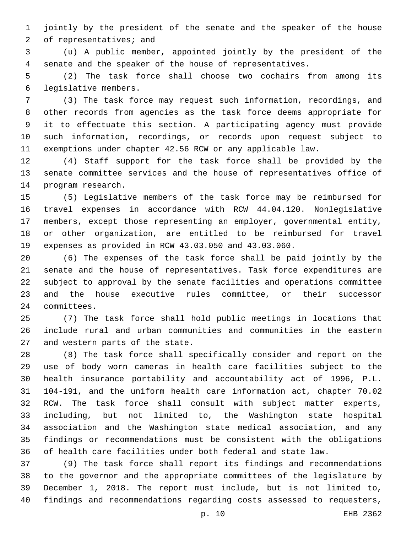jointly by the president of the senate and the speaker of the house 2 of representatives; and

 (u) A public member, appointed jointly by the president of the senate and the speaker of the house of representatives.

 (2) The task force shall choose two cochairs from among its legislative members.6

 (3) The task force may request such information, recordings, and other records from agencies as the task force deems appropriate for it to effectuate this section. A participating agency must provide such information, recordings, or records upon request subject to exemptions under chapter 42.56 RCW or any applicable law.

 (4) Staff support for the task force shall be provided by the senate committee services and the house of representatives office of 14 program research.

 (5) Legislative members of the task force may be reimbursed for travel expenses in accordance with RCW 44.04.120. Nonlegislative members, except those representing an employer, governmental entity, or other organization, are entitled to be reimbursed for travel expenses as provided in RCW 43.03.050 and 43.03.060.

 (6) The expenses of the task force shall be paid jointly by the senate and the house of representatives. Task force expenditures are subject to approval by the senate facilities and operations committee and the house executive rules committee, or their successor 24 committees.

 (7) The task force shall hold public meetings in locations that include rural and urban communities and communities in the eastern 27 and western parts of the state.

 (8) The task force shall specifically consider and report on the use of body worn cameras in health care facilities subject to the health insurance portability and accountability act of 1996, P.L. 104-191, and the uniform health care information act, chapter 70.02 RCW. The task force shall consult with subject matter experts, including, but not limited to, the Washington state hospital association and the Washington state medical association, and any findings or recommendations must be consistent with the obligations of health care facilities under both federal and state law.

 (9) The task force shall report its findings and recommendations to the governor and the appropriate committees of the legislature by December 1, 2018. The report must include, but is not limited to, findings and recommendations regarding costs assessed to requesters,